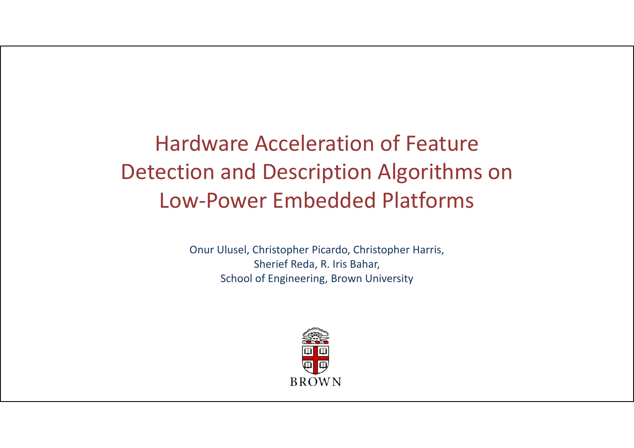#### Hardware Acceleration of Feature Detection and Description Algorithms on Low‐Power Embedded Platforms

Onur Ulusel, Christopher Picardo, Christopher Harris, Sherief Reda, R. Iris Bahar, School of Engineering, Brown University

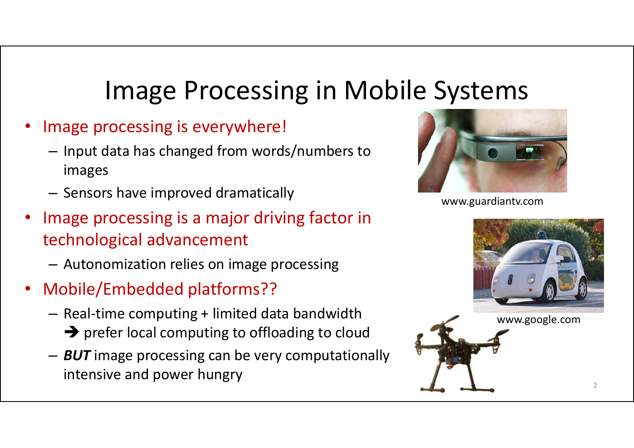## Image Processing in Mobile Systems

- • Image processing is everywhere!
	- – $-$  Input data has changed from words/numbers to images
	- – $-$  Sensors have improved dramatically
- • Image processing is a major driving factor in technological advancement
	- –Autonomization relies on image processing
- Mobile/Embedded platforms??
	- – Real‐time computing + limited data bandwidth
		- $\rightarrow$  prefer local computing to offloading to cloud
	- – *BUT* image processing can be very computationally intensive and power hungry



www.guardiantv.com

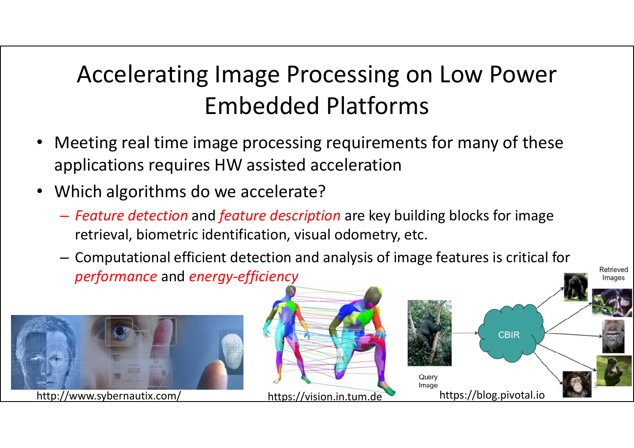## Accelerating Image Processing on Low Power Embedded Platforms

- $\bullet$  Meeting real time image processing requirements for many of these applications requires HW assisted acceleration
- • Which algorithms do we accelerate?
	- *Feature detection* and *feature description* are key building blocks for image retrieval, biometric identification, visual odometry, etc.
	- Computational efficient detection and analysis of image features is critical for *performance* and *energy‐efficiency*

Retrieved

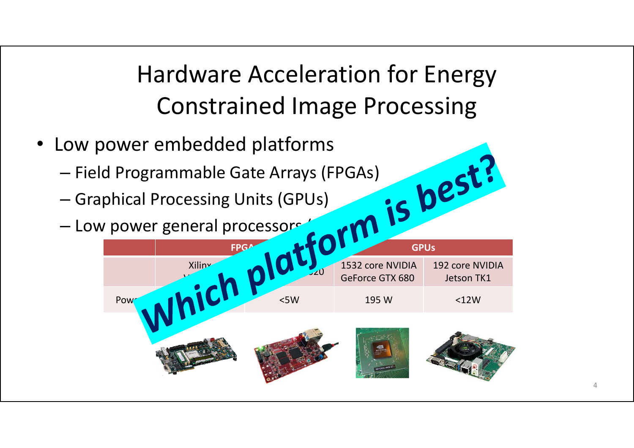Hardware Acceleration for Energy Constrained Image Processing

- Low power embedded platforms
	- Field Programmable Gate Arrays (FPGAs)
	- Graphical Processing Units (GPUs)
	- Low power general processors (CPUS)

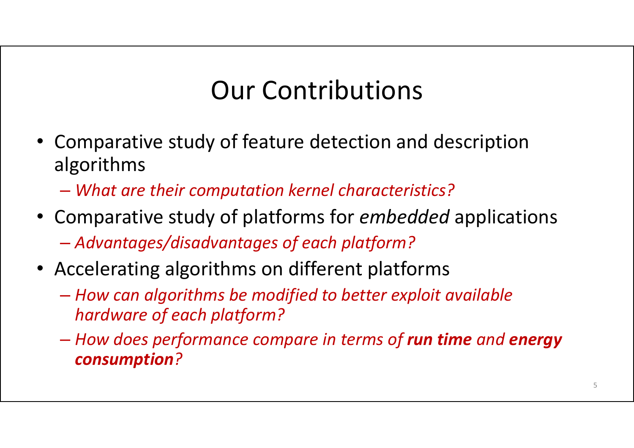## Our Contributions

- Comparative study of feature detection and description algorithms
	- *What are their computation kernel characteristics?*
- Comparative study of platforms for *embedded* applications –*Advantages/disadvantages of each platform?*
- Accelerating algorithms on different platforms
	- *How can algorithms be modified to better exploit available hardware of each platform?*
	- – *How does performance compare in terms of run time and energy consumption ?*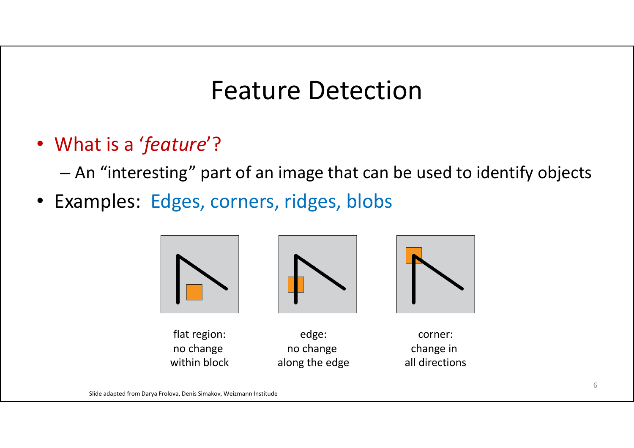## Feature Detection

• What is a '*feature*'?

An "interesting" part of an image that can be used to identify objects

• Examples: Edges, corners, ridges, blobs

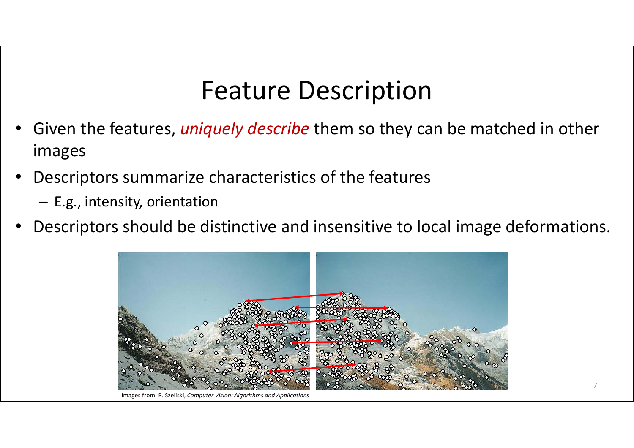## Feature Description

- • Given the features, *uniquely describe* them so they can be matched in other images
- • Descriptors summarize characteristics of the features
	- E.g., intensity, orientation
- •Descriptors should be distinctive and insensitive to local image deformations.



Images from: R. Szeliski, *Computer Vision: Algorithms and Applications*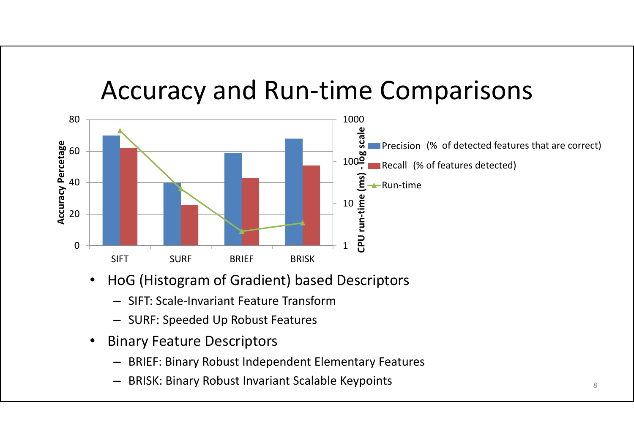## Accuracy and Run‐time Comparisons



- • HoG (Histogram of Gradient) based Descriptors
	- SIFT: Scale‐Invariant Feature Transform
	- SURF: Speeded Up Robust Features
- • Binary Feature Descriptors
	- BRIEF: Binary Robust Independent Elementary Features
	- –BRISK: Binary Robust Invariant Scalable Keypoints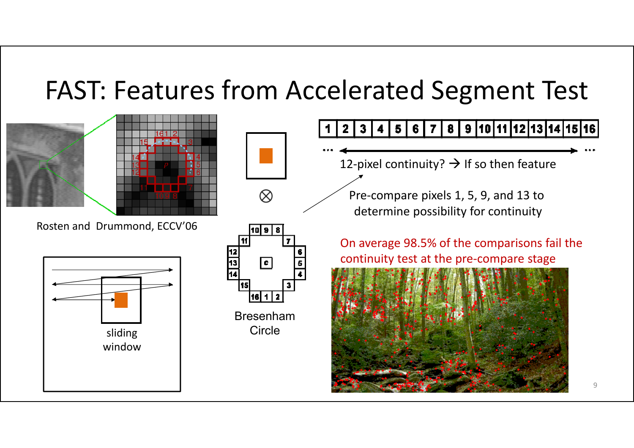## FAST: Features from Accelerated Segment Test





Rosten and Drummond, ECCV'06





 $\otimes$ 

Bresenham

7 8 9 10 11 12 13 14 15 16  $5|6|$ 12-pixel continuity?  $\rightarrow$  If so then feature Pre‐compare pixels 1, 5, 9, and 13 to determine possibility for continuity On average 98.5% of the comparisons fail the continuity test at the pre‐compare stage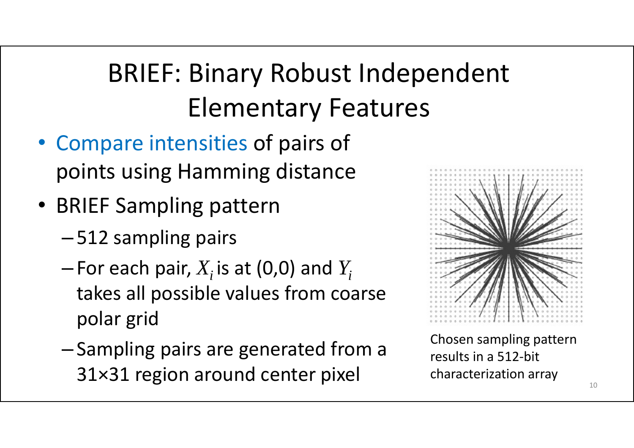# BRIEF: Binary Robust Independent Elementary Features

- Compare intensities of pairs of points using Hamming distance
- BRIEF Sampling pattern
	- –512 sampling pairs
	- – $-$  For each pair,  $X_i$  is at (0,0) and  $Y_i$ takes all possible values from coarse polar grid
	- -Sampling pairs are generated from a  $31\times31$  region around center pixel



Chosen sampling pattern results in a 512‐bit characterization array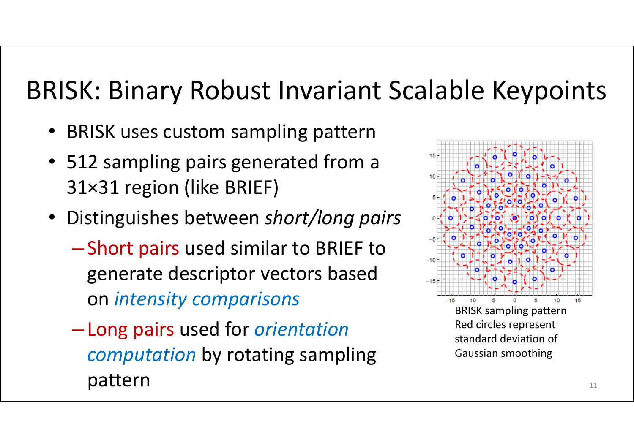## BRISK: Binary Robust Invariant Scalable Keypoints

- BRISK uses custom sampling pattern
- 512 sampling pairs generated from a 31×31 region (like BRIEF)
- Distinguishes between *short/long pairs*
	- **Little Communist Communist Communist** - Short pairs used similar to BRIEF to generate descriptor vectors based on *intensity comparisons*
	- **Little Communist Communist Communist**  Long pairs used for *orientation computation* by rotating sampling pattern

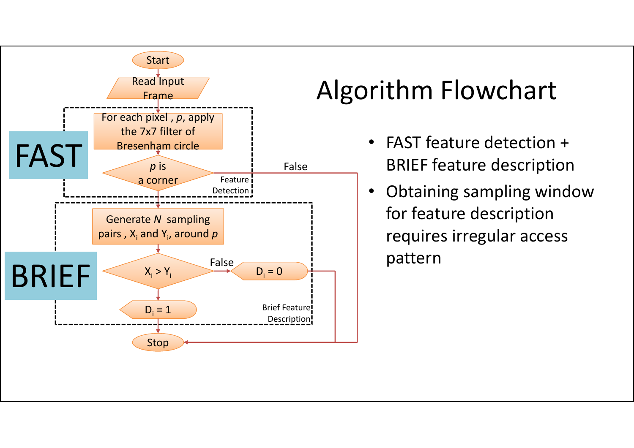

## Algorithm Flowchart

- FAST feature detection + BRIEF feature description
- • Obtaining sampling window for feature description requires irregular access pattern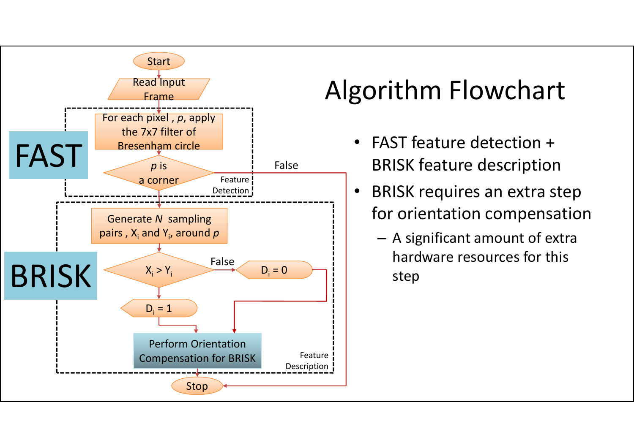

## Algorithm Flowchart

- • FAST feature detection + BRISK feature description
- • BRISK requires an extra step for orientation compensation
	- – A significant amount of extra hardware resources for this step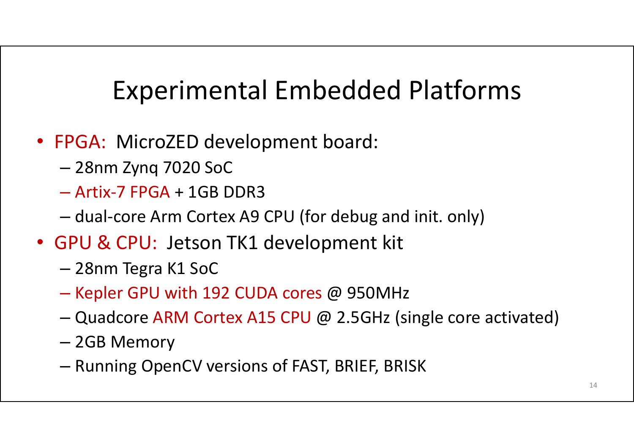## Experimental Embedded Platforms

- FPGA: MicroZED development board:
	- 28nm Zynq 7020 SoC
	- Artix‐7 FPGA + 1GB DDR3
	- dual‐core Arm Cortex A9 CPU (for debug and init. only)
- GPU & CPU: Jetson TK1 development kit
	- –28nm Tegra K1 SoC
	- – $-$  Kepler GPU with 192 CUDA cores @ 950MHz
	- Quadcore ARM Cortex A15 CPU @ 2.5GHz (single core activated)
	- 2GB Memory
	- $-$  Running OpenCV versions of FAST, BRIEF, BRISK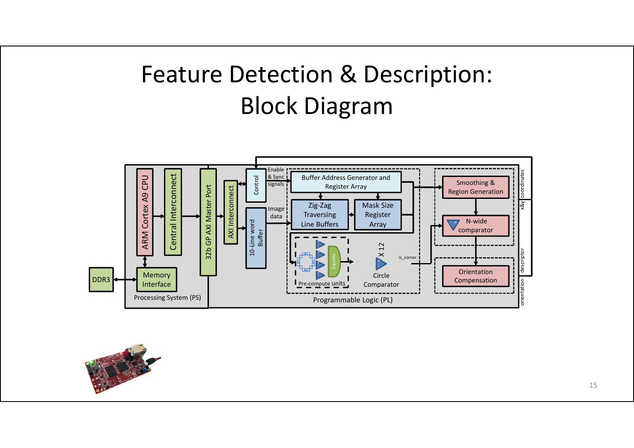

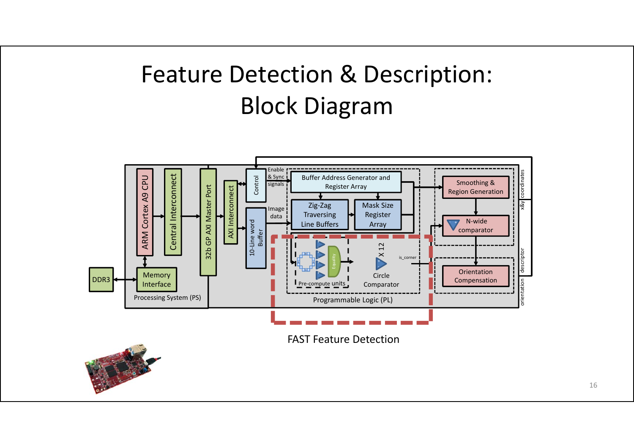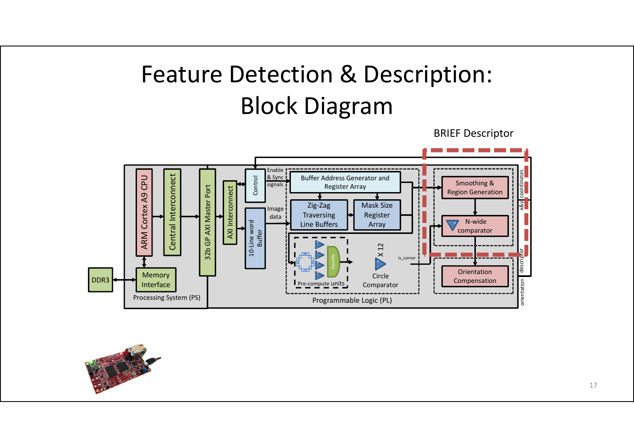BRIEF Descriptor



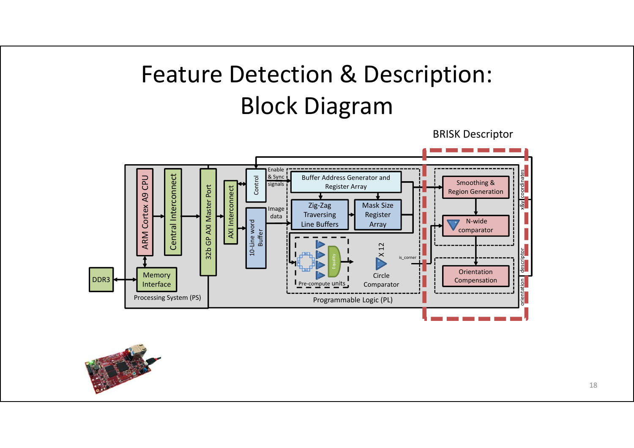BRISK Descriptor



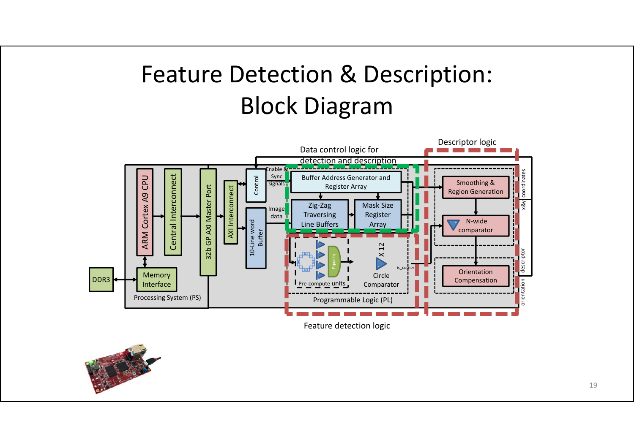

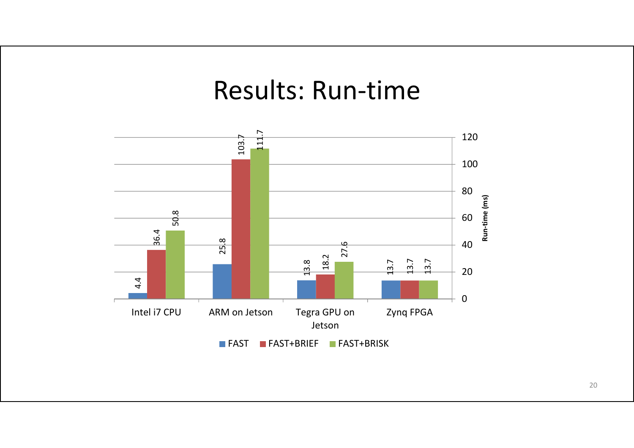#### Results: Run‐time

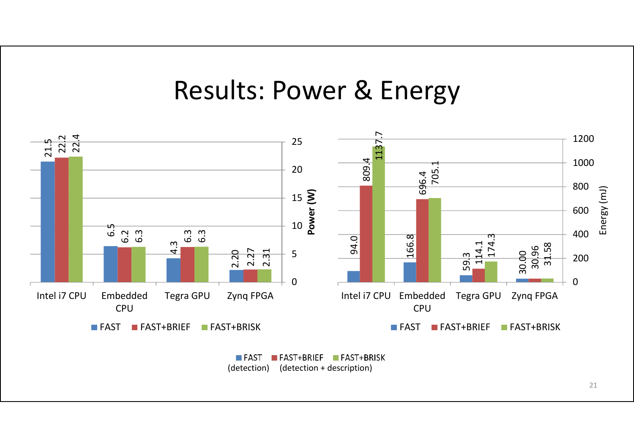#### Results: Power & Energy



FAST FAST+BRIEF FAST+BRISK (detection) (detection + description)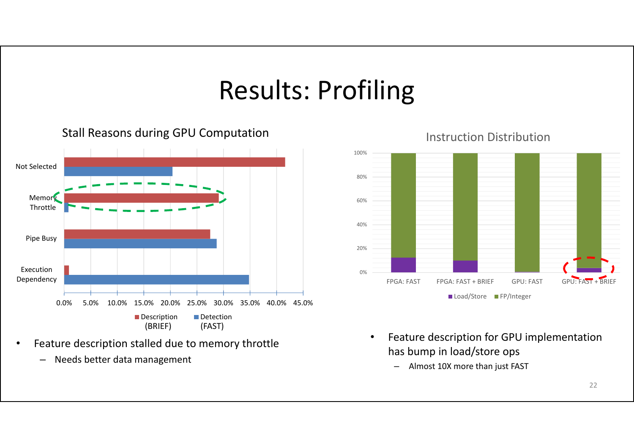## Results: Profiling

0.0% 5.0% 10.0% 15.0% 20.0% 25.0% 30.0% 35.0% 40.0% 45.0% ExecutionDependency Pipe Busy Memory Throttle Not SelectedDescription Detection (BRIEF) (FAST)

Stall Reasons during GPU Computation

- • Feature description stalled due to memory throttle
	- –Needs better data management



Instruction Distribution

- • Feature description for GPU implementation has bump in load/store ops
	- –Almost 10X more than just FAST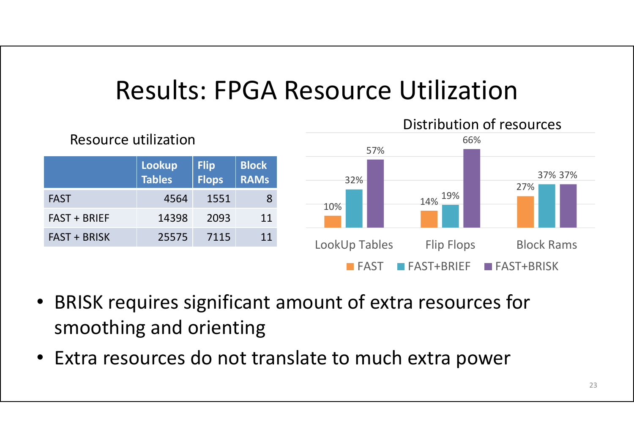## Results: FPGA Resource Utilization



- • BRISK requires significant amount of extra resources for smoothing and orienting
- Extra resources do not translate to much extra power